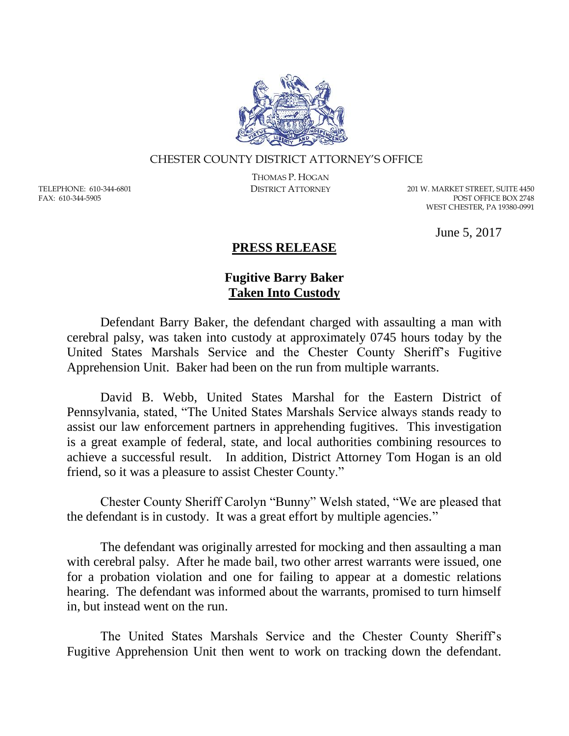

## CHESTER COUNTY DISTRICT ATTORNEY'S OFFICE

TELEPHONE: 610-344-6801 FAX: 610-344-5905

THOMAS P. HOGAN

DISTRICT ATTORNEY 201 W. MARKET STREET, SUITE 4450 POST OFFICE BOX 2748 WEST CHESTER, PA 19380-0991

June 5, 2017

## **PRESS RELEASE**

## **Fugitive Barry Baker Taken Into Custody**

Defendant Barry Baker, the defendant charged with assaulting a man with cerebral palsy, was taken into custody at approximately 0745 hours today by the United States Marshals Service and the Chester County Sheriff's Fugitive Apprehension Unit. Baker had been on the run from multiple warrants.

David B. Webb, United States Marshal for the Eastern District of Pennsylvania, stated, "The United States Marshals Service always stands ready to assist our law enforcement partners in apprehending fugitives. This investigation is a great example of federal, state, and local authorities combining resources to achieve a successful result. In addition, District Attorney Tom Hogan is an old friend, so it was a pleasure to assist Chester County."

Chester County Sheriff Carolyn "Bunny" Welsh stated, "We are pleased that the defendant is in custody. It was a great effort by multiple agencies."

The defendant was originally arrested for mocking and then assaulting a man with cerebral palsy. After he made bail, two other arrest warrants were issued, one for a probation violation and one for failing to appear at a domestic relations hearing. The defendant was informed about the warrants, promised to turn himself in, but instead went on the run.

The United States Marshals Service and the Chester County Sheriff's Fugitive Apprehension Unit then went to work on tracking down the defendant.